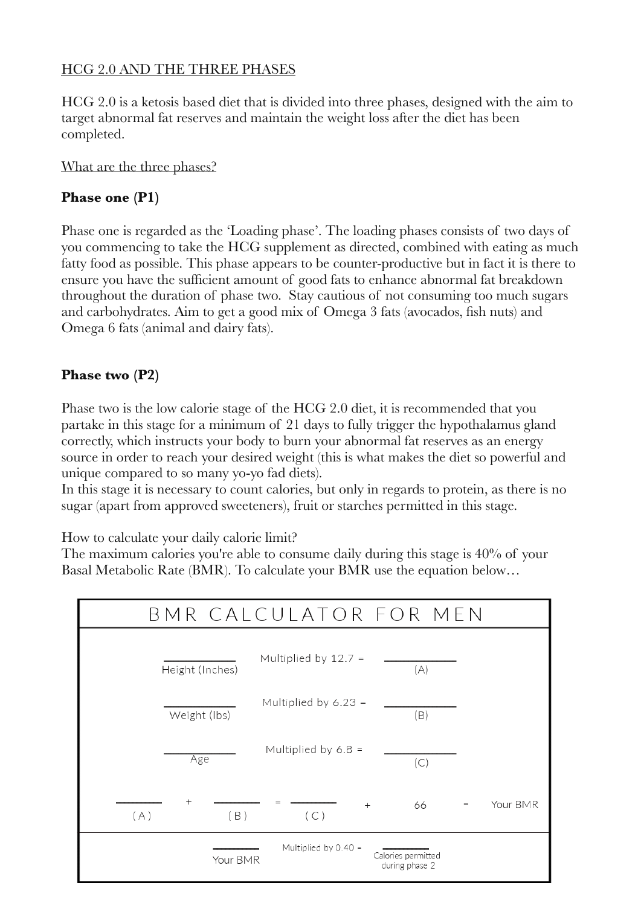### HCG 2.0 AND THE THREE PHASES

HCG 2.0 is a ketosis based diet that is divided into three phases, designed with the aim to target abnormal fat reserves and maintain the weight loss after the diet has been completed.

What are the three phases?

## **Phase one (P1)**

Phase one is regarded as the 'Loading phase'. The loading phases consists of two days of you commencing to take the HCG supplement as directed, combined with eating as much fatty food as possible. This phase appears to be counter-productive but in fact it is there to ensure you have the sufficient amount of good fats to enhance abnormal fat breakdown throughout the duration of phase two. Stay cautious of not consuming too much sugars and carbohydrates. Aim to get a good mix of Omega 3 fats (avocados, fish nuts) and Omega 6 fats (animal and dairy fats).

## **Phase two (P2)**

Phase two is the low calorie stage of the HCG 2.0 diet, it is recommended that you partake in this stage for a minimum of 21 days to fully trigger the hypothalamus gland correctly, which instructs your body to burn your abnormal fat reserves as an energy source in order to reach your desired weight (this is what makes the diet so powerful and unique compared to so many yo-yo fad diets).

In this stage it is necessary to count calories, but only in regards to protein, as there is no sugar (apart from approved sweeteners), fruit or starches permitted in this stage.

How to calculate your daily calorie limit?

The maximum calories you're able to consume daily during this stage is 40% of your Basal Metabolic Rate (BMR). To calculate your BMR use the equation below…

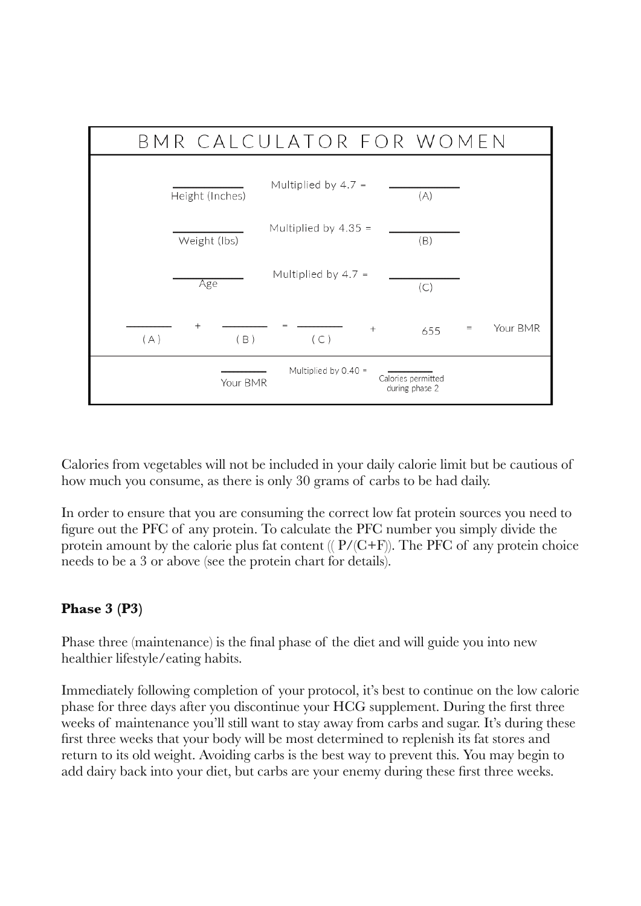

Calories from vegetables will not be included in your daily calorie limit but be cautious of how much you consume, as there is only 30 grams of carbs to be had daily.

In order to ensure that you are consuming the correct low fat protein sources you need to figure out the PFC of any protein. To calculate the PFC number you simply divide the protein amount by the calorie plus fat content  $( (P/(C+F))$ . The PFC of any protein choice needs to be a 3 or above (see the protein chart for details).

# **Phase 3 (P3)**

Phase three (maintenance) is the final phase of the diet and will guide you into new healthier lifestyle/eating habits.

Immediately following completion of your protocol, it's best to continue on the low calorie phase for three days after you discontinue your HCG supplement. During the first three weeks of maintenance you'll still want to stay away from carbs and sugar. It's during these first three weeks that your body will be most determined to replenish its fat stores and return to its old weight. Avoiding carbs is the best way to prevent this. You may begin to add dairy back into your diet, but carbs are your enemy during these first three weeks.